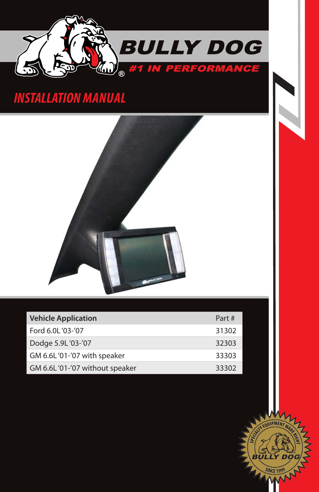

# *INSTALLATION Manual*



| <b>Vehicle Application</b>     | Part# |
|--------------------------------|-------|
| Ford 6.0L '03-'07              | 31302 |
| Dodge 5.9L '03-'07             | 32303 |
| GM 6.6L'01-'07 with speaker    | 33303 |
| GM 6.6L'01-'07 without speaker | 33302 |

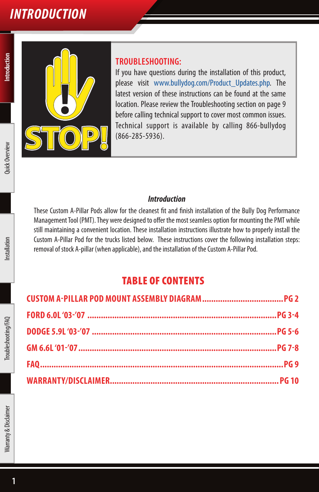# *Introduction*



#### **TROUBLESHOOTING:**

If you have questions during the installation of this product, please visit www.bullydog.com/Product\_Updates.php. The latest version of these instructions can be found at the same location. Please review the Troubleshooting section on page 9 before calling technical support to cover most common issues. Technical support is available by calling 866-bullydog (866-285-5936).

#### *Introduction*

These Custom A-Pillar Pods allow for the cleanest fit and finish installation of the Bully Dog Performance Management Tool (PMT). They were designed to offer the most seamless option for mounting the PMT while still maintaining a convenient location. These installation instructions illustrate how to properly install the Custom A-Pillar Pod for the trucks listed below. These instructions cover the following installation steps: removal of stock A-pillar (when applicable), and the installation of the Custom A-Pillar Pod.

### TABLE OF CONTENTS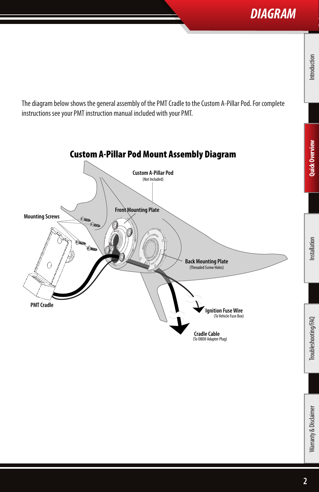## *DIAGRAM*

**Quick Overview Quick Overview**

The diagram below shows the general assembly of the PMT Cradle to the Custom A-Pillar Pod. For complete instructions see your PMT instruction manual included with your PMT.

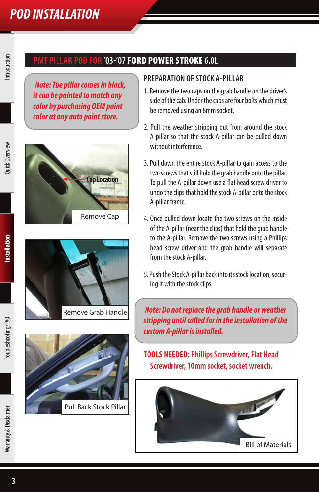### **PMT pillar pod for '03-'07** FORD power stroke **6.0L**

*Note: The pillar comes in black, it can be painted to match any color by purchasing OEM paint color at any auto paint store.*







#### **Preparation ofstock A-pillar**

- 1. Remove the two caps on the grab handle on the driver's side of the cab. Under the caps are four bolts which must be removed using an 8mm socket.
- 2. Pull the weather stripping out from around the stock A-pillar so that the stock A-pillar can be pulled down without interference.
- 3. Pull down the entire stock A-pillar to gain access to the two screws that still hold the grab handle onto the pillar. To pull the A-pillar down use a flat head screw driver to undo the clips that hold the stock A-pillar onto the stock A-pillar frame.
- 4. Once pulled down locate the two screws on the inside of the A-pillar (near the clips) that hold the grab handle to the A-pillar. Remove the two screws using a Phillips head screw driver and the grab handle will separate from the stock A-pillar.
- 5. Push the Stock A-pillar back into its stock location, securing it with the stock clips.

*Note: Do not replace the grab handle or weather stripping until called for in the installation of the custom A-pillar is installed.*

**TOOLS NEEDED: Phillips Screwdriver, Flat Head Screwdriver, 10mm socket, socket wrench.** 

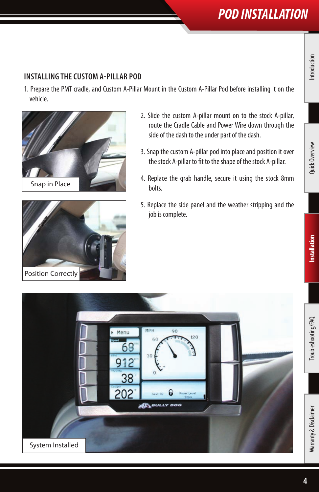### **Installing thecustom A-pillar Pod**

1. Prepare the PMT cradle, and Custom A-Pillar Mount in the Custom A-Pillar Pod before installing it on the vehicle.





- 2. Slide the custom A-pillar mount on to the stock A-pillar, route the Cradle Cable and Power Wire down through the side of the dash to the under part of the dash.
- 3. Snap the custom A-pillar pod into place and position it over the stock A-pillar to fit to the shape of the stock A-pillar.
- 4. Replace the grab handle, secure it using the stock 8mm bolts.
- 5. Replace the side panel and the weather stripping and the job is complete.

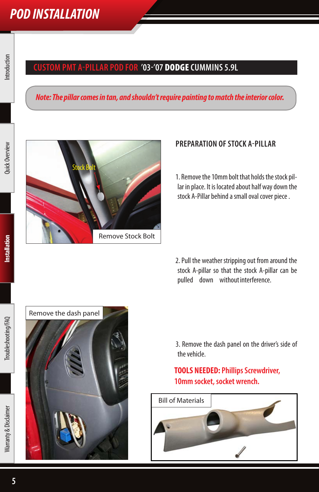### **Custom PMT a-pillar pod for '03-'07** DODGE **Cummins 5.9L**

#### *Note: The pillar comes in tan, and shouldn't require painting to match the interior color.*



#### **Preparation ofstock A-pillar**

1. Remove the 10mm bolt that holds the stock pillar in place. It is located about half way down the stock A-Pillar behind a small oval cover piece .

2. Pull the weather stripping out from around the stock A-pillar so that the stock A-pillar can be pulled down without interference.

 3. Remove the dash panel on the driver's side of the vehicle.

### **TOOLS NEEDED: Phillips Screwdriver, 10mm socket, socket wrench.**



**Installation**

nstallation

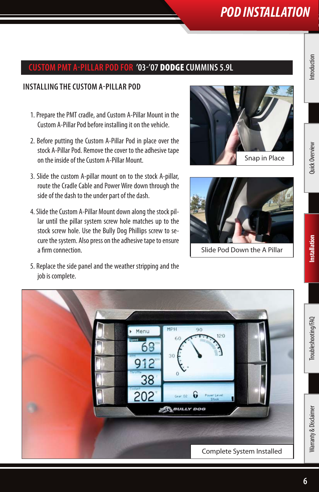#### **Custom PMT a-pillar pod for '03-'07** DODGE **Cummins 5.9L**

#### **Installing thecustom A-pillar Pod**

- 1. Prepare the PMT cradle, and Custom A-Pillar Mount in the Custom A-Pillar Pod before installing it on the vehicle.
- 2. Before putting the Custom A-Pillar Pod in place over the stock A-Pillar Pod. Remove the cover to the adhesive tape on the inside of the Custom A-Pillar Mount.
- 3. Slide the custom A-pillar mount on to the stock A-pillar, route the Cradle Cable and Power Wire down through the side of the dash to the under part of the dash.
- 4. Slide the Custom A-Pillar Mount down along the stock pillar until the pillar system screw hole matches up to the stock screw hole. Use the Bully Dog Phillips screw to secure the system. Also press on the adhesive tape to ensure a firm connection.





Slide Pod Down the A Pillar

5. Replace the side panel and the weather stripping and the job is complete.

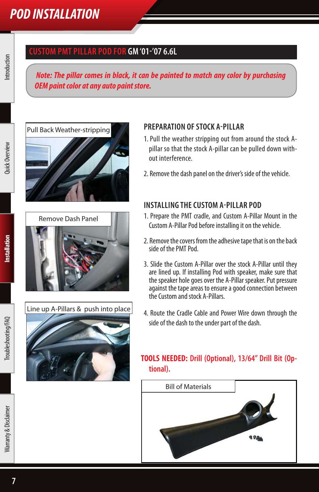### **CUSTOM PMT pillar pod for GM '01-'07 6.6L**

*Note: The pillar comes in black, it can be painted to match any color by purchasing OEM paint color at any auto paint store.*







#### **Preparation ofstock A-pillar**

- 1. Pull the weather stripping out from around the stock Apillar so that the stock A-pillar can be pulled down without interference.
- 2. Remove the dash panel on the driver's side of the vehicle.

#### **Installing thecustom A-pillar Pod**

- 1. Prepare the PMT cradle, and Custom A-Pillar Mount in the Custom A-Pillar Pod before installing it on the vehicle.
- 2. Remove the covers from the adhesive tape that is on the back side of the PMT Pod.
- 3. Slide the Custom A-Pillar over the stock A-Pillar until they are lined up. If installing Pod with speaker, make sure that the speaker hole goes over the A-Pillar speaker. Put pressure against the tape areas to ensure a good connection between the Custom and stock A-Pillars.
- 4. Route the Cradle Cable and Power Wire down through the side of the dash to the under part of the dash.

#### **TOOLS NEEDED: Drill (Optional), 13/64" Drill Bit (Optional).**

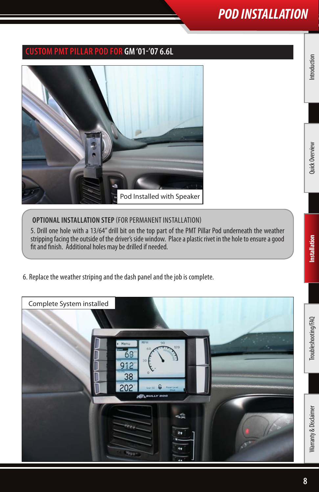### **CUSTOM PMT pillar pod for GM '01-'07 6.6L**



#### **OPTIONAL INSTALLATION STEP** (FOR PERMANENT INSTALLATION)

5. Drill one hole with a 13/64" drill bit on the top part of the PMT Pillar Pod underneath the weather stripping facing the outside of the driver's side window. Place a plastic rivet in the hole to ensure a good fit and finish. Additional holes may be drilled if needed.

6. Replace the weather striping and the dash panel and the job is complete.

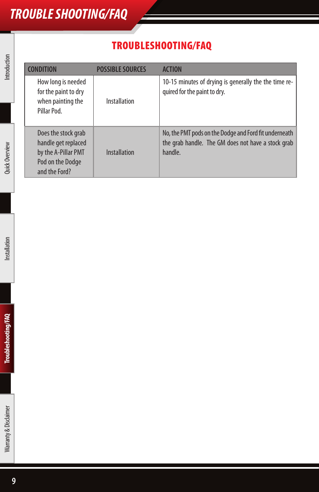# *TROUBLE SHOOTING/FAQ*

## TROUBLESHOOTING/FAQ

| <b>CONDITION</b>                                                                                       | <b>POSSIBLE SOURCES</b> | <b>ACTION</b>                                                                                                          |
|--------------------------------------------------------------------------------------------------------|-------------------------|------------------------------------------------------------------------------------------------------------------------|
| How long is needed<br>for the paint to dry<br>when painting the<br>Pillar Pod.                         | Installation            | 10-15 minutes of drying is generally the the time re-<br>quired for the paint to dry.                                  |
| Does the stock grab<br>handle get replaced<br>by the A-Pillar PMT<br>Pod on the Dodge<br>and the Ford? | <b>Installation</b>     | No, the PMT pods on the Dodge and Ford fit underneath<br>the grab handle. The GM does not have a stock grab<br>handle. |

Introduction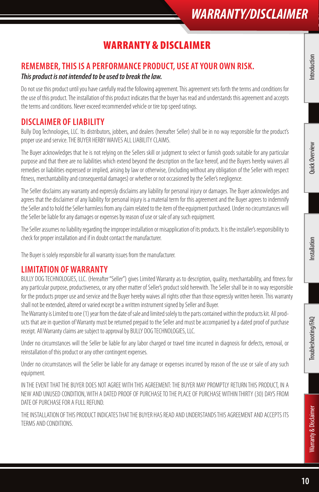# *WARRANTY/DISCLAIMER*

## Warranty & disclaimer

### **REMEMBER, THIS IS A PERFORMANCE PRODUCT, USE AT YOUR OWN RISK.**

#### *This product is not intended to be used to break the law.*

Do not use this product until you have carefully read the following agreement. This agreement sets forth the terms and conditions for the use of this product. The installation of this product indicates that the buyer has read and understands this agreement and accepts the terms and conditions. Never exceed recommended vehicle or tire top speed ratings.

### **DISCLAIMER OF LIABILITY**

Bully Dog Technologies, LLC. Its distributors, jobbers, and dealers (hereafter Seller) shall be in no way responsible for the product's proper use and service. THE BUYER HERBY WAIVES ALL LIABILITY CLAIMS.

The Buyer acknowledges that he is not relying on the Sellers skill or judgment to select or furnish goods suitable for any particular purpose and that there are no liabilities which extend beyond the description on the face hereof, and the Buyers hereby waivers all remedies or liabilities expressed or implied, arising by law or otherwise, (including without any obligation of the Seller with respect fitness, merchantability and consequential damages) or whether or not occasioned by the Seller's negligence.

The Seller disclaims any warranty and expressly disclaims any liability for personal injury or damages. The Buyer acknowledges and agrees that the disclaimer of any liability for personal injury is a material term for this agreement and the Buyer agrees to indemnify the Seller and to hold the Seller harmless from any claim related to the item of the equipment purchased. Under no circumstances will the Seller be liable for any damages or expenses by reason of use or sale of any such equipment.

The Seller assumes no liability regarding the improper installation or misapplication of its products. It is the installer's responsibility to check for proper installation and if in doubt contact the manufacturer.

The Buyer is solely responsible for all warranty issues from the manufacturer.

### **LIMITATION OF WARRANTY**

BULLY DOG TECHNOLOGIES, LLC. (Hereafter "Seller") gives Limited Warranty as to description, quality, merchantability, and fitness for any particular purpose, productiveness, or any other matter of Seller's product sold herewith. The Seller shall be in no way responsible for the products proper use and service and the Buyer hereby waives all rights other than those expressly written herein. This warranty shall not be extended, altered or varied except be a written instrument signed by Seller and Buyer.

The Warranty is Limited to one (1) year from the date of sale and limited solely to the parts contained within the products kit. All products that are in question of Warranty must be returned prepaid to the Seller and must be accompanied by a dated proof of purchase receipt. All Warranty claims are subject to approval by BULLY DOG TECHNOLOGIES, LLC.

Under no circumstances will the Seller be liable for any labor charged or travel time incurred in diagnosis for defects, removal, or reinstallation of this product or any other contingent expenses.

Under no circumstances will the Seller be liable for any damage or expenses incurred by reason of the use or sale of any such equipment.

IN THE EVENT THAT THE BUYER DOES NOT AGREE WITH THIS AGREEMENT: THE BUYER MAY PROMPTLY RETURN THIS PRODUCT, IN A NEW AND UNUSED CONDITION, WITH A DATED PROOF OF PURCHASE TO THE PLACE OF PURCHASE WITHIN THIRTY (30) DAYS FROM DATE OF PURCHASE FOR A FULL REFUND.

THE INSTALLATION OF THIS PRODUCT INDICATES THAT THE BUYER HAS READ AND UNDERSTANDS THIS AGREEMENT AND ACCEPTS ITS TERMS AND CONDITIONS.